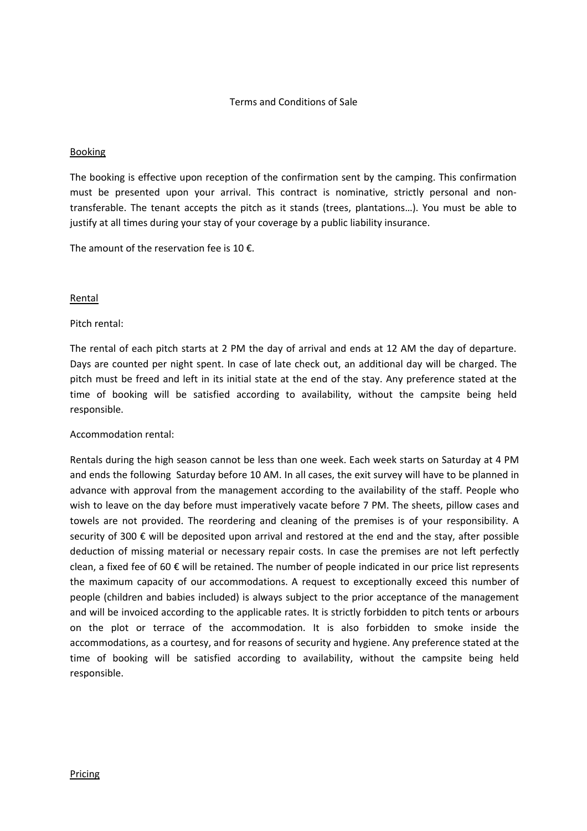## Terms and Conditions of Sale

### Booking

The booking is effective upon reception of the confirmation sent by the camping. This confirmation must be presented upon your arrival. This contract is nominative, strictly personal and nontransferable. The tenant accepts the pitch as it stands (trees, plantations…). You must be able to justify at all times during your stay of your coverage by a public liability insurance.

The amount of the reservation fee is 10  $\epsilon$ .

### Rental

### Pitch rental:

The rental of each pitch starts at 2 PM the day of arrival and ends at 12 AM the day of departure. Days are counted per night spent. In case of late check out, an additional day will be charged. The pitch must be freed and left in its initial state at the end of the stay. Any preference stated at the time of booking will be satisfied according to availability, without the campsite being held responsible.

## Accommodation rental:

Rentals during the high season cannot be less than one week. Each week starts on Saturday at 4 PM and ends the following Saturday before 10 AM. In all cases, the exit survey will have to be planned in advance with approval from the management according to the availability of the staff. People who wish to leave on the day before must imperatively vacate before 7 PM. The sheets, pillow cases and towels are not provided. The reordering and cleaning of the premises is of your responsibility. A security of 300 € will be deposited upon arrival and restored at the end and the stay, after possible deduction of missing material or necessary repair costs. In case the premises are not left perfectly clean, a fixed fee of 60 € will be retained. The number of people indicated in our price list represents the maximum capacity of our accommodations. A request to exceptionally exceed this number of people (children and babies included) is always subject to the prior acceptance of the management and will be invoiced according to the applicable rates. It is strictly forbidden to pitch tents or arbours on the plot or terrace of the accommodation. It is also forbidden to smoke inside the accommodations, as a courtesy, and for reasons of security and hygiene. Any preference stated at the time of booking will be satisfied according to availability, without the campsite being held responsible.

#### Pricing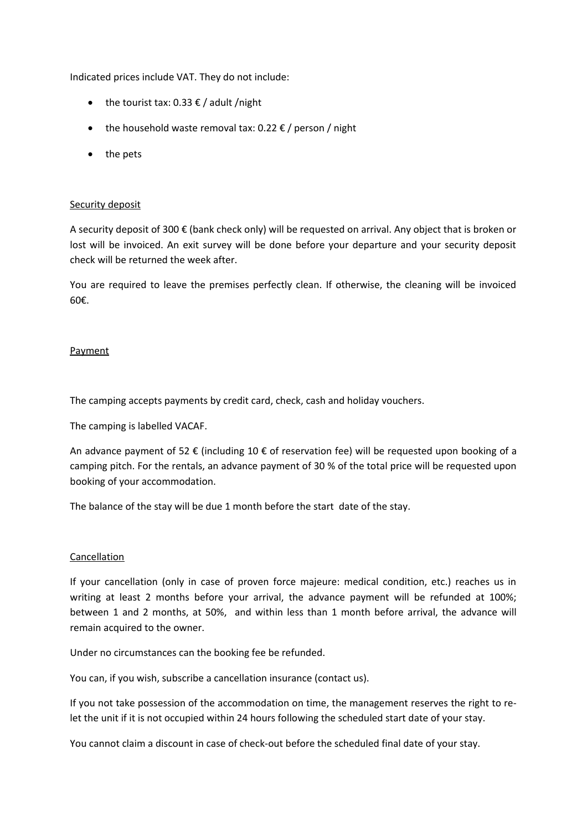Indicated prices include VAT. They do not include:

- the tourist tax:  $0.33 \notin /$  adult /night
- the household waste removal tax:  $0.22 \epsilon$  / person / night
- the pets

### Security deposit

A security deposit of 300 € (bank check only) will be requested on arrival. Any object that is broken or lost will be invoiced. An exit survey will be done before your departure and your security deposit check will be returned the week after.

You are required to leave the premises perfectly clean. If otherwise, the cleaning will be invoiced 60€.

### **Payment**

The camping accepts payments by credit card, check, cash and holiday vouchers.

The camping is labelled VACAF.

An advance payment of 52  $\epsilon$  (including 10  $\epsilon$  of reservation fee) will be requested upon booking of a camping pitch. For the rentals, an advance payment of 30 % of the total price will be requested upon booking of your accommodation.

The balance of the stay will be due 1 month before the start date of the stay.

#### Cancellation

If your cancellation (only in case of proven force majeure: medical condition, etc.) reaches us in writing at least 2 months before your arrival, the advance payment will be refunded at 100%; between 1 and 2 months, at 50%, and within less than 1 month before arrival, the advance will remain acquired to the owner.

Under no circumstances can the booking fee be refunded.

You can, if you wish, subscribe a cancellation insurance (contact us).

If you not take possession of the accommodation on time, the management reserves the right to relet the unit if it is not occupied within 24 hours following the scheduled start date of your stay.

You cannot claim a discount in case of check-out before the scheduled final date of your stay.